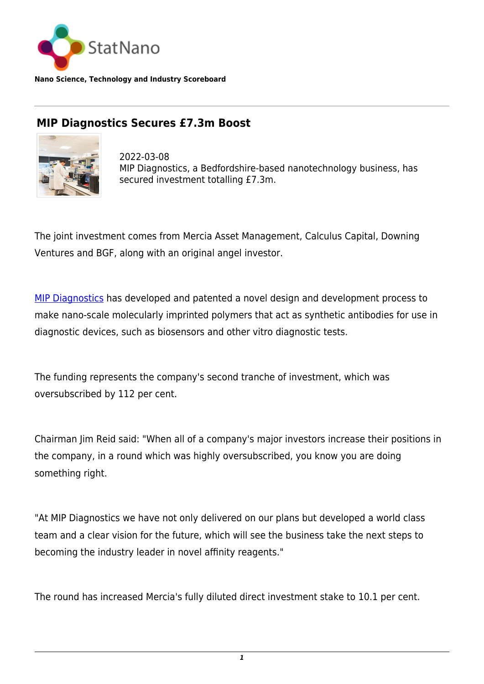

**Nano Science, Technology and Industry Scoreboard**

## **MIP Diagnostics Secures £7.3m Boost**



2022-03-08 MIP Diagnostics, a Bedfordshire-based nanotechnology business, has secured investment totalling £7.3m.

The joint investment comes from Mercia Asset Management, Calculus Capital, Downing Ventures and BGF, along with an original angel investor.

[MIP Diagnostics](https://www.mip-dx.com/) has developed and patented a novel design and development process to make nano-scale molecularly imprinted polymers that act as synthetic antibodies for use in diagnostic devices, such as biosensors and other vitro diagnostic tests.

The funding represents the company's second tranche of investment, which was oversubscribed by 112 per cent.

Chairman Jim Reid said: "When all of a company's major investors increase their positions in the company, in a round which was highly oversubscribed, you know you are doing something right.

"At MIP Diagnostics we have not only delivered on our plans but developed a world class team and a clear vision for the future, which will see the business take the next steps to becoming the industry leader in novel affinity reagents."

The round has increased Mercia's fully diluted direct investment stake to 10.1 per cent.